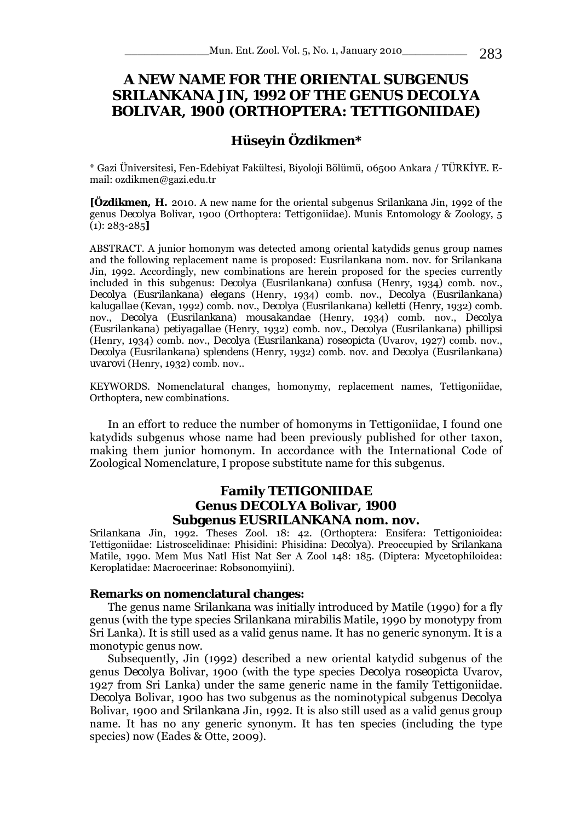# **A NEW NAME FOR THE ORIENTAL SUBGENUS**  *SRILANKANA* **JIN, 1992 OF THE GENUS** *DECOLYA*  **BOLIVAR, 1900 (ORTHOPTERA: TETTIGONIIDAE)**

## **Hüseyin Özdikmen\***

\* Gazi Üniversitesi, Fen-Edebiyat Fakültesi, Biyoloji Bölümü, 06500 Ankara / TÜRKİYE. Email: ozdikmen@gazi.edu.tr

**[Özdikmen, H.** 2010. A new name for the oriental subgenus *Srilankana* Jin, 1992 of the genus *Decolya* Bolivar, 1900 (Orthoptera: Tettigoniidae). Munis Entomology & Zoology, 5 (1): 283-285**]** 

ABSTRACT. A junior homonym was detected among oriental katydids genus group names and the following replacement name is proposed: *Eusrilankana* nom. nov. for *Srilankana*  Jin, 1992. Accordingly, new combinations are herein proposed for the species currently included in this subgenus: *Decolya* (*Eusrilankana*) *confusa* (Henry, 1934) comb. nov., *Decolya* (*Eusrilankana*) *elegans* (Henry, 1934) comb. nov., *Decolya* (*Eusrilankana*) *kalugallae* (Kevan, 1992) comb. nov., *Decolya* (*Eusrilankana*) *kelletti* (Henry, 1932) comb. nov., *Decolya* (*Eusrilankana*) *mousakandae* (Henry, 1934) comb. nov., *Decolya*  (*Eusrilankana*) *petiyagallae* (Henry, 1932) comb. nov., *Decolya* (*Eusrilankana*) *phillipsi*  (Henry, 1934) comb. nov., *Decolya* (*Eusrilankana*) *roseopicta* (Uvarov, 1927) comb. nov., *Decolya* (*Eusrilankana*) *splendens* (Henry, 1932) comb. nov. and *Decolya* (*Eusrilankana*) *uvarovi* (Henry, 1932) comb. nov..

KEYWORDS. Nomenclatural changes, homonymy, replacement names, Tettigoniidae, Orthoptera, new combinations.

In an effort to reduce the number of homonyms in Tettigoniidae, I found one katydids subgenus whose name had been previously published for other taxon, making them junior homonym. In accordance with the International Code of Zoological Nomenclature, I propose substitute name for this subgenus.

## **Family TETIGONIIDAE Genus** *DECOLYA* **Bolivar, 1900 Subgenus** *EUSRILANKANA* **nom. nov.**

*Srilankana* Jin, 1992. Theses Zool. 18: 42. (Orthoptera: Ensifera: Tettigonioidea: Tettigoniidae: Listroscelidinae: Phisidini: Phisidina: *Decolya*). Preoccupied by *Srilankana*  Matile, 1990. Mem Mus Natl Hist Nat Ser A Zool 148: 185. (Diptera: Mycetophiloidea: Keroplatidae: Macrocerinae: Robsonomyiini).

#### **Remarks on nomenclatural changes:**

The genus name *Srilankana* was initially introduced by Matile (1990) for a fly genus (with the type species *Srilankana mirabilis* Matile, 1990 by monotypy from Sri Lanka). It is still used as a valid genus name. It has no generic synonym. It is a monotypic genus now.

Subsequently, Jin (1992) described a new oriental katydid subgenus of the genus *Decolya* Bolivar, 1900 (with the type species *Decolya roseopicta* Uvarov, 1927 from Sri Lanka) under the same generic name in the family Tettigoniidae. *Decolya* Bolivar, 1900 has two subgenus as the nominotypical subgenus *Decolya*  Bolivar, 1900 and *Srilankana* Jin, 1992. It is also still used as a valid genus group name. It has no any generic synonym. It has ten species (including the type species) now (Eades & Otte, 2009).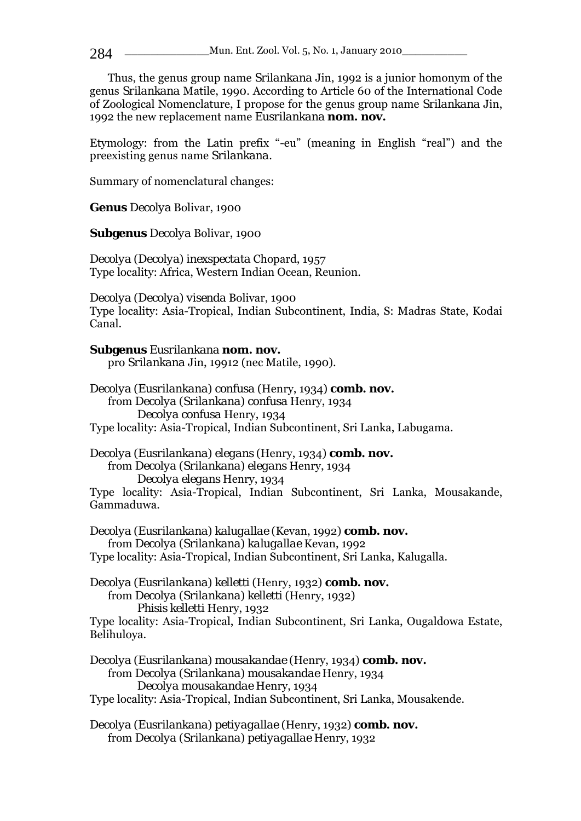Thus, the genus group name *Srilankana* Jin, 1992 is a junior homonym of the genus *Srilankana* Matile, 1990. According to Article 60 of the International Code of Zoological Nomenclature, I propose for the genus group name *Srilankana* Jin, 1992 the new replacement name *Eusrilankana* **nom. nov.**

Etymology: from the Latin prefix "-eu" (meaning in English "real") and the preexisting genus name *Srilankana.* 

Summary of nomenclatural changes:

**Genus** *Decolya* Bolivar, 1900

**Subgenus** *Decolya* Bolivar, 1900

*Decolya* (*Decolya*) *inexspectata* Chopard, 1957 Type locality: Africa, Western Indian Ocean, Reunion.

*Decolya* (*Decolya*) *visenda* Bolivar, 1900 Type locality: Asia-Tropical, Indian Subcontinent, India, S: Madras State, Kodai Canal.

**Subgenus** *Eusrilankana* **nom. nov.**  pro *Srilankana* Jin, 19912 (nec Matile, 1990).

*Decolya* (*Eusrilankana*) *confusa* (Henry, 1934) **comb. nov.** from *Decolya* (*Srilankana*) *confusa* Henry, 1934  *Decolya confusa* Henry, 1934 Type locality: Asia-Tropical, Indian Subcontinent, Sri Lanka, Labugama.

*Decolya* (*Eusrilankana*) *elegans* (Henry, 1934) **comb. nov.** from *Decolya* (*Srilankana*) *elegans* Henry, 1934  *Decolya elegans* Henry, 1934

Type locality: Asia-Tropical, Indian Subcontinent, Sri Lanka, Mousakande, Gammaduwa.

*Decolya* (*Eusrilankana*) *kalugallae* (Kevan, 1992) **comb. nov.** from *Decolya* (*Srilankana*) *kalugallae* Kevan, 1992 Type locality: Asia-Tropical, Indian Subcontinent, Sri Lanka, Kalugalla.

## *Decolya* (*Eusrilankana*) *kelletti* (Henry, 1932) **comb. nov.** from *Decolya* (*Srilankana*) *kelletti* (Henry, 1932) *Phisis kelletti* Henry, 1932

Type locality: Asia-Tropical, Indian Subcontinent, Sri Lanka, Ougaldowa Estate, Belihuloya.

*Decolya* (*Eusrilankana*) *mousakandae* (Henry, 1934) **comb. nov.** from *Decolya* (*Srilankana*) *mousakandae* Henry, 1934  *Decolya mousakandae* Henry, 1934 Type locality: Asia-Tropical, Indian Subcontinent, Sri Lanka, Mousakende.

*Decolya* (*Eusrilankana*) *petiyagallae* (Henry, 1932) **comb. nov.** from *Decolya* (*Srilankana*) *petiyagallae* Henry, 1932